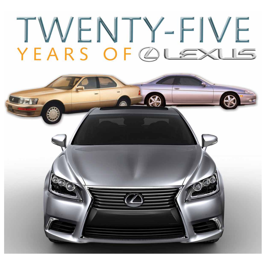### TWENTY-FIVE YEARS OF @LEXLIE

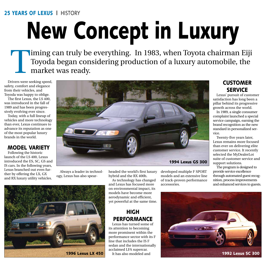#### 25 years of lexus | history

### New Concept in Luxury

Timing can truly be everything. In 1983, when Toyota chairman Eiji<br>Toyoda began considering production of a luxury automobile, the<br>market was ready. Toyoda began considering production of a luxury automobile, the market was ready.

Drivers were seeking speed, safety, comfort and elegance from their vehicles, and Toyoda was happy to oblige.

The first Lexus, the LS 400, was introduced in the fall of 1989 and has been progressively evolving ever since.

Today, with a full lineup of vehicles and more technology than ever, Lexus continues to advance its reputation as one of the most popular luxury brands in the world.

#### Model Variety

Following the historic launch of the LS 400, Lexus introduced the ES, SC, GS and IS cars. In the following years, Lexus branched out even further by offering the LX, GX and RX luxury utility vehicles.



Always a leader in technology, Lexus has also spearheaded the world's first luxury hybrid and the RX 400h.

As technology has changed and Lexus has focused more on environmental impact, its models have become more aerodynamic and efficient, yet powerful at the same time.

#### **HIGH PERFORMANCE**

Lexus has turned some of its attention to becoming more prominent within the performance sector with its F line that includes the IS F sedan and the internationally acclaimed LFA supercar.

developed multiple F SPORT models and an extensive line of track-proven performance accessories.

#### **CUSTOMER SERVICE**

Lexus' pursuit of customer satisfaction has long been a pillar behind its progressive growth across the world.

In 1989, a single consumer complaint launched a special service campaign, earning the brand recognition as the new standard in personalized service.

Twenty-five years later, Lexus remains more focused than ever on delivering elite customer service. It recently selected the MyDealerLot suite of customer service and support solutions.

The program is designed to provide service excellence through automated guest recognition, process improvements and enhanced services to guests.



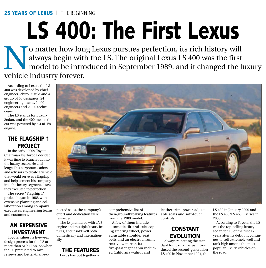25 YEARS OF LEXUS | THE BEGINNING

### LS 400: The First Lexus

O matter how long Lexus pursues perfection, its rich history will always begin with the LS. The original Lexus LS 400 was the first model to be introduced in September 1989, and it changed the livebicle industry forever always begin with the LS. The original Lexus LS 400 was the first model to be introduced in September 1989, and it changed the luxury vehicle industry forever.

According to Lexus, the LS 400 was developed by chief engineer Ichiro Suzuki and a group of 60 designers, 24 engineering teams, 1,400 engineers and 2,300 technicians.

The LS stands for Luxury Sedan, and the 400 means the car was powered by a 4.0L V8 engine.

#### The Flagship 1 **PROJECT**

In the early 1980s, Toyota Chairman Eiji Toyoda decided it was time to branch out into the luxury sector. He challenged his corporate leaders and advisors to create a vehicle that would serve as a flagship and help cement his company into the luxury segment, a task they executed to perfection.

The secret "Flagship 1" project began in 1983 with extensive planning and collaboration among company executives, engineering teams and customers.

#### An Expensive Investment

Toyota values its five-year design process for the LS at more than \$1 billion. So when the LS premiered to rave reviews and better-than-ex-



pected sales, the company's effort and dedication were rewarded.

The LS premiered with a V8 engine and multiple luxury features, and it sold well both domestically and internationally.

### The Features

Lexus has put together a

comprehensive list of then-groundbreaking features from the 1989 model.

A few of them include automatic tilt-and-telescoping steering wheel, power adjustable shoulder seat belts and an electrochromic rear-view mirror. Its five-passenger cabin included California walnut and

leather trim, power-adjustable seats and soft-touch controls.

#### **CONSTANT EVOLUTION**

Always re-setting the standard for luxury, Lexus introduced the second-generation LS 400 in November 1994, the

LS 430 in January 2000 and the LS 460/LS 460 L series in 2006.

According to Toyota, the LS was the top-selling luxury sedan for 15 of the first 17 years after its debut. It continues to sell extremely well and rank high among the most popular luxury vehicles on the road.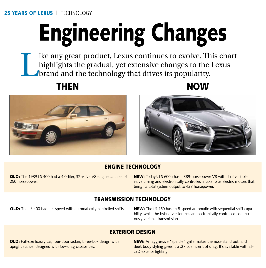#### 25 YEARS OF LEXUS | TECHNOLOGY

# Engineering Changes

Ike any great product, Lexus continues to evolve. This chart<br>highlights the gradual, yet extensive changes to the Lexus<br>brand and the technology that drives its popularity. highlights the gradual, yet extensive changes to the Lexus brand and the technology that drives its popularity.







#### Engine Technology

**OLD:** The 1989 LS 400 had a 4.0-liter, 32-valve V8 engine capable of 250 horsepower.

NEW: Today's LS 600h has a 389-horsepower V8 with dual variable valve timing and electronically controlled intake, plus electric motors that bring its total system output to 438 horsepower.

#### transmission Technology

OLD: The LS 400 had a 4-speed with automatically controlled shifts. NEW: The LS 460 has an 8-speed automatic with sequential shift capability, while the hybrid version has an electronically controlled continuously variable transmission.

#### exterior design

OLD: Full-size luxury car, four-door sedan, three-box design with upright stance, designed with low-drag capabilities.

NEW: An aggressive "spindle" grille makes the nose stand out, and sleek body styling gives it a .27 coefficient of drag. It's available with all-LED exterior lighting.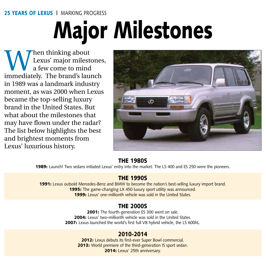#### 25 YEARS OF LEXUS | MARKING PROGRESS

### Major Milestones

When thinking about<br>a few come to mind<br>immediately The brand's law Lexus' major milestones, a few come to mind immediately. The brand's launch in 1989 was a landmark industry moment, as was 2000 when Lexus became the top-selling luxury brand in the United States. But what about the milestones that may have flown under the radar? The list below highlights the best and brightest moments from Lexus' luxurious history.



#### The 1980s

**1989:** Launch! Two sedans initiated Lexus' entry into the market. The LS 400 and ES 250 were the pioneers.

#### The 1990s

1991: Lexus outsold Mercedes-Benz and BMW to become the nation's best-selling luxury import brand. 1995: The game-changing LX 450 luxury sport utility was announced. 1999: Lexus' one-millionth vehicle was sold in the United States.

#### The 2000s

2001: The fourth-generation ES 300 went on sale. 2004: Lexus' two-millionth vehicle was sold in the United States. 2007: Lexus launched the world's first full V8 hybrid vehicle, the LS 600hL.

### 2010-2014

2012: Lexus debuts its first-ever Super Bowl commercial. 2013: World premiere of the third-generation IS sport sedan. 2014: Lexus' 25th anniversary.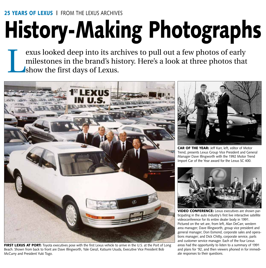# History-Making Photographs

exus looked deep into its archives to pull out a few photos of early milestones in the brand's history. Here's a look at three photos that show the first days of Lexus.



FIRST LEXUS AT PORT: Toyota executives pose with the first Lexus vehicle to arrive in the U.S. at the Port of Long Beach. Shown from back to front are Dave Illingworth, Yale Gieszl, Katsumi Usuda, Executive Vice President Bob McCurry and President Yuki Togo.



CAR OF THE YEAR: Jeff Karr, left, editor of Motor Trend, presents Lexus Group Vice President and General Manager Dave Illingworth with the 1992 Motor Trend Import Car of the Year award for the Lexus SC 400.



VIDEO CONFERENCE: Lexus executives are shown participating in the auto industry's first live interactive satellite videoconference for its entire dealer body in 1991. Pictured on the set are, from left, Alan DeCarr, western area manager; Dave Illingworth, group vice president and general manager; Don Esmond, corporate sales and operations manager; and Dick Chitty, corporate service, parts and customer service manager. Each of the four Lexus areas had the opportunity to listen to a summary of 1991 and plans for '92, and then viewers phoned in for immediate responses to their questions.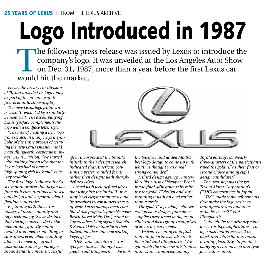#### 25 YEARS OF LEXUS | FROM THE LEXUS ARCHIVES

### Logo Introduced in 1987

The following press release was issued by Lexus to introduce the company's logo. It was unveiled at the Los Angeles Auto Show on Dec. 31, 1987, more than a year before the first Lexus car would bit the market company's logo. It was unveiled at the Los Angeles Auto Show on Dec. 31, 1987, more than a year before the first Lexus car would hit the market.

*Lexus, the luxury car division of Toyota unveiled its logo today as part of the premiere of its first-ever auto show display.*

*The new Lexus logo features a beveled "L" encircled by a similarly beveled oval. The accompanying Lexus typeface complements the logo with a boldface letter style.*

*"The task of creating a new logo from scratch in many ways is symbolic of the entire process of creating the new Lexus Division," said Dave Illingworth, corporate manager, Lexus Division. "We started with nothing but an idea that the Lexus logo had to have a high-quality, rich look and yet be very readable."*

*The final logo is the result of a six-month project that began last June with consultations with several design and corporate identification companies.*

*Beginning with the Lexus images of luxury, quality and high technology, it was decided that the logo also needed to be memorable, quickly comprehended and mean something to consumers even when standing alone. A review of current upscale consumer goods logos showed that the most successful* 



*often incorporated the brand's initials in their design research indicated that American consumers prefer rounded forms rather then designs with sharply defined edges.*

*Armed with well-defined ideas that using just the initial "L" in a simple yet elegant manner would be perceived by consumers as very upscale, Lexus management combined two proposals from Newport Beach-based Molly Design and the Toyota advertising agency Saatchi & Saatchi DFS to transform their individual ideas into one working logo/typeface.*

*"DFS came up with a Lexus typeface that we thought was great," said Illingworth. "We took* 

*the typeface and added Molly's best logo design to come up with what we thought was a real strong contender."*

*A third design agency, Hunter-Korobkin, also of Newport Beach, made final adjustments by refining the gold "L" design and surrounding it with an oval rather than a circle.*

*The gold "L" logo along with several previous designs from other suppliers were tested in August at clinics and focus groups comprised of 80 luxury car owners.*

*"We were encouraged to find that our favorite was also their favorite," said Illingworth. "We got much the same results from a mini-clinic conducted among* 

*Toyota employees. Nearly three-quarters of the participants rated the gold "L" as their first or second choice among eight design candidates."*

*The next step was the get Toyota Motor Corporation's (TMC) concurrence in Japan.*

*"TMC made some refinements that make the logo easier to manufacture and add to its esthetics as well," said Illingworth.*

*Gold will be the primary color for Lexus logo applications. The logo also reproduces well in black and white for maximum printing flexibility. In product badging, a chromelogo and typeface will be used.*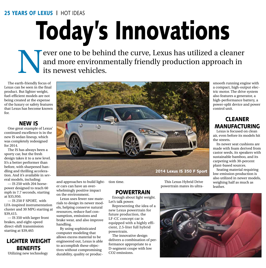#### 25 YEARS OF LEXUS | HOT IDEAS

Today's Innovations

Never one to be behind the curve, Lexus has utilized a cleaner and more environmentally friendly production approach in its newest vehicles. and more environmentally friendly production approach in its newest vehicles.

The earth-friendly focus of Lexus can be seen in the final product. But lighter weight, fuel-efficient models are not being created at the expense of the luxury or safety features that Lexus has become known for.

#### NEW IS

One great example of Lexus' continued excellence is in the new IS sedan lineup, which was completely redesigned for 2014.

The IS has always been a sporty car, but the fresh design takes it to a new level. It's a better performer than before, with sharpened handling and thrilling acceleration. And it's available in several models, including:

— IS 250 with 204 horsepower designed to reach 60 mph in 7.7 seconds, starting at \$35,950.

— IS 250 F SPORT, with LFA-inspired instrumentation cluster and 30 MPG starting at \$39,415.

— IS 350 with larger front brakes, and eight-speed direct-shift transmission starting at \$39,465

#### Lighter Weight **BENEFITS** Utilizing new technology



and approaches to build light-tion time. er cars can have an overwhelmingly positive impact on the environment.

Lexus uses fewer raw materials to design its newer models, helping conserve natural resources, reduce fuel consumption, emissions and brake wear, and also improve handling.

By using sophisticated computer modeling that allows excess material to be engineered out, Lexus is able to accomplish these objectives without compromising durability, quality or produc-

This Lexus Hybrid Drive powertrain mates its ultrasmooth running engine with a compact, high-output electric motor. The drive system also features a generator, a high-performance battery, a power-split device and power control unit.

#### **CLEANER** Manufacturing

Lexus is focused on clean air, even before its models hit the streets.

Its newer seat cushions are made with foam derived from castor seeds, its speakers with sustainable bamboo, and its carpeting with 30-percent plant-based sources.

Seating material requiring low-emission production is also utilized in newer models, weighing half as much as leather.

#### **POWERTRAIN**

Enough about light weight. Let's talk power.

Representing the idea of a new Lexus powertrain for future production, the LF-CC concept car is equipped with a highly efficient, 2.5-liter full hybrid powertrain.

The innovative design delivers a combination of performance appropriate to a D-segment coupe with low CO2 emissions.

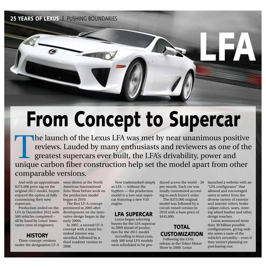25 YEARS OF LEXUS | PUSHING BOUNDARIES



### From Concept to Supercar

 $\blacksquare$  The launch of the Lexus LFA was met by near unanimous positive reviews. Lauded by many enthusiasts and reviewers as one of the greatest supercars ever built, the LFA's drivability, power and unique carbon fiber construction help set the model apart from other comparable versions.

And with an approximate \$375,000 price tag on the original 2011 model, buyers enjoyed the option of fully customizing their new supercars.

Production ended on the LFA in December 2012 with 500 vehicles completed – all by hand by Lexus' innovative crew of engineers.

#### **HISTORY**

Three concept versions under the designation LF-A were shown at the North American International Auto Show before work on the production model began in 2010.

The first LF-A concept premiered in 2005 after development on the innovative design began in the early 2000s.

In 2007, a second LF-A concept with a more furnished interior was unveiled, followed by a third roadster version in 2008.

Now trademarked simply as LFA — without the hyphen — the production model is a two-seat supercar featuring a new V10 engine.

#### LFA Supercar

Lexus began selecting buyers for the LFA supercar in 2009 ahead of production for the 2011 model. According to lexus.com, only 500 total LFA models were scheduled to be produced across the world – 20 per month. Each car was totally customized according to each buyer's order.

The \$375,000 original model was followed by a circuit-tuned version in 2010 with a base price of \$445,000.

#### **TOTAL CUSTOMIZATION**

Following the LFA's release at the Tokyo Motor Show in 2009, Lexus

launched a website with an "LFA configurator" that allowed and encouraged users to select from the diverse variety of exterior and interior colors, brake caliper colors, seats, steering wheel leather and other design touches.

Lexus announced more than 30 billion possible configurations, giving website users a taste of the vehicle's versatility – even if they weren't planning on purchasing one.